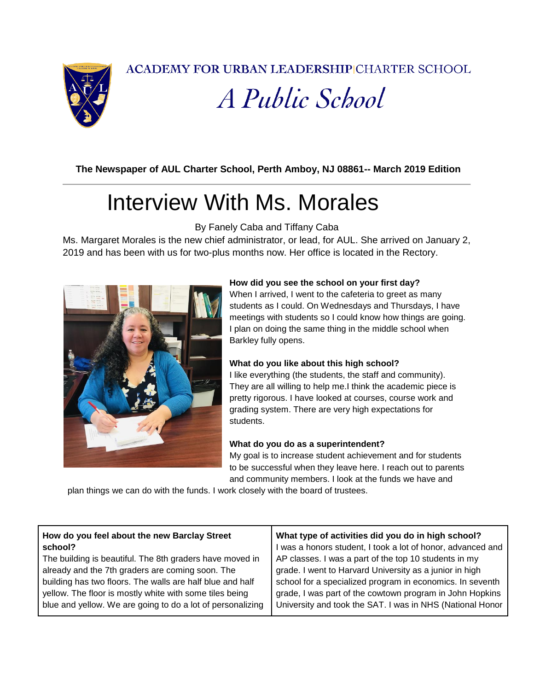**ACADEMY FOR URBAN LEADERSHIPICHARTER SCHOOL** 



A Public School

**The Newspaper of AUL Charter School, Perth Amboy, NJ 08861-- March 2019 Edition**

# Interview With Ms. Morales

By Fanely Caba and Tiffany Caba

Ms. Margaret Morales is the new chief administrator, or lead, for AUL. She arrived on January 2, 2019 and has been with us for two-plus months now. Her office is located in the Rectory.



#### **How did you see the school on your first day?**

When I arrived, I went to the cafeteria to greet as many students as I could. On Wednesdays and Thursdays, I have meetings with students so I could know how things are going. I plan on doing the same thing in the middle school when Barkley fully opens.

#### **What do you like about this high school?**

I like everything (the students, the staff and community). They are all willing to help me.I think the academic piece is pretty rigorous. I have looked at courses, course work and grading system. There are very high expectations for students.

#### **What do you do as a superintendent?**

My goal is to increase student achievement and for students to be successful when they leave here. I reach out to parents and community members. I look at the funds we have and

plan things we can do with the funds. I work closely with the board of trustees.

| How do you feel about the new Barclay Street<br>school?    | What type of activities did you do in high school?<br>I was a honors student, I took a lot of honor, advanced and |
|------------------------------------------------------------|-------------------------------------------------------------------------------------------------------------------|
|                                                            |                                                                                                                   |
| The building is beautiful. The 8th graders have moved in   | AP classes. I was a part of the top 10 students in my                                                             |
| already and the 7th graders are coming soon. The           | grade. I went to Harvard University as a junior in high                                                           |
| building has two floors. The walls are half blue and half  | school for a specialized program in economics. In seventh                                                         |
| yellow. The floor is mostly white with some tiles being    | grade, I was part of the cowtown program in John Hopkins                                                          |
| blue and yellow. We are going to do a lot of personalizing | University and took the SAT. I was in NHS (National Honor                                                         |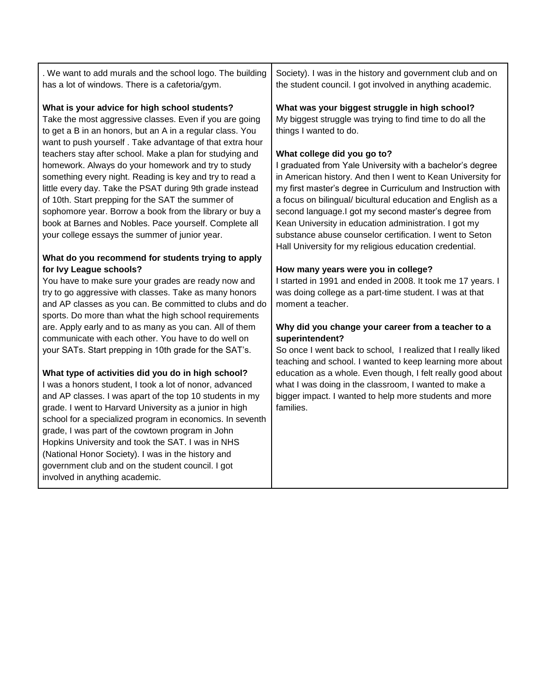. We want to add murals and the school logo. The building has a lot of windows. There is a cafetoria/gym.

#### **What is your advice for high school students?**

Take the most aggressive classes. Even if you are going to get a B in an honors, but an A in a regular class. You want to push yourself . Take advantage of that extra hour teachers stay after school. Make a plan for studying and homework. Always do your homework and try to study something every night. Reading is key and try to read a little every day. Take the PSAT during 9th grade instead of 10th. Start prepping for the SAT the summer of sophomore year. Borrow a book from the library or buy a book at Barnes and Nobles. Pace yourself. Complete all your college essays the summer of junior year.

#### **What do you recommend for students trying to apply for Ivy League schools?**

You have to make sure your grades are ready now and try to go aggressive with classes. Take as many honors and AP classes as you can. Be committed to clubs and do sports. Do more than what the high school requirements are. Apply early and to as many as you can. All of them communicate with each other. You have to do well on your SATs. Start prepping in 10th grade for the SAT's.

#### **What type of activities did you do in high school?**

I was a honors student, I took a lot of nonor, advanced and AP classes. I was apart of the top 10 students in my grade. I went to Harvard University as a junior in high school for a specialized program in economics. In seventh grade, I was part of the cowtown program in John Hopkins University and took the SAT. I was in NHS (National Honor Society). I was in the history and government club and on the student council. I got involved in anything academic.

Society). I was in the history and government club and on the student council. I got involved in anything academic.

#### **What was your biggest struggle in high school?**

My biggest struggle was trying to find time to do all the things I wanted to do.

#### **What college did you go to?**

I graduated from Yale University with a bachelor's degree in American history. And then I went to Kean University for my first master's degree in Curriculum and Instruction with a focus on bilingual/ bicultural education and English as a second language.I got my second master's degree from Kean University in education administration. I got my substance abuse counselor certification. I went to Seton Hall University for my religious education credential.

#### **How many years were you in college?**

I started in 1991 and ended in 2008. It took me 17 years. I was doing college as a part-time student. I was at that moment a teacher.

#### **Why did you change your career from a teacher to a superintendent?**

So once I went back to school, I realized that I really liked teaching and school. I wanted to keep learning more about education as a whole. Even though, I felt really good about what I was doing in the classroom, I wanted to make a bigger impact. I wanted to help more students and more families.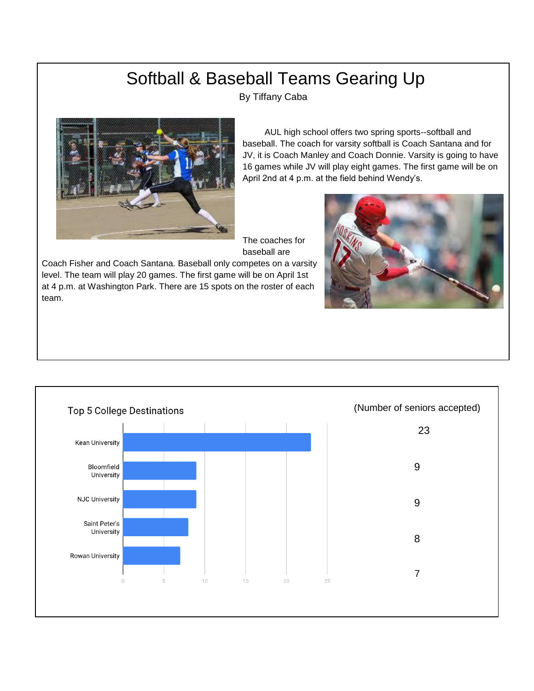### Softball & Baseball Teams Gearing Up

By Tiffany Caba



 AUL high school offers two spring sports--softball and baseball. The coach for varsity softball is Coach Santana and for JV, it is Coach Manley and Coach Donnie. Varsity is going to have 16 games while JV will play eight games. The first game will be on April 2nd at 4 p.m. at the field behind Wendy's.

The coaches for baseball are

Coach Fisher and Coach Santana. Baseball only competes on a varsity level. The team will play 20 games. The first game will be on April 1st at 4 p.m. at Washington Park. There are 15 spots on the roster of each team.



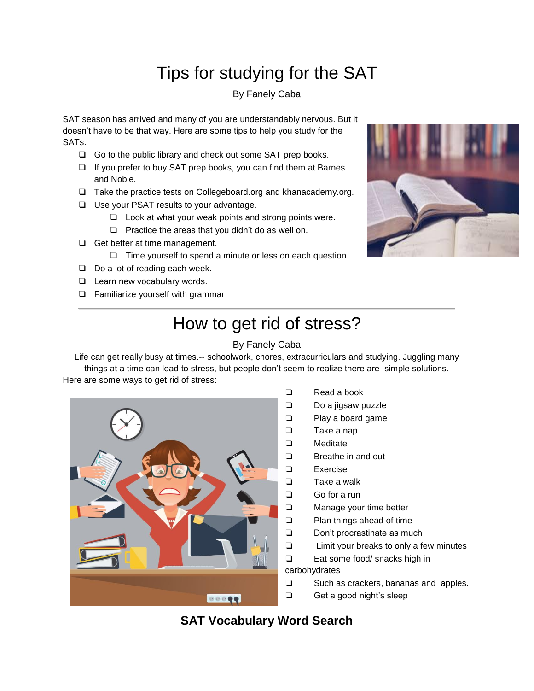## Tips for studying for the SAT

#### By Fanely Caba

SAT season has arrived and many of you are understandably nervous. But it doesn't have to be that way. Here are some tips to help you study for the SATs:

- ❏ Go to the public library and check out some SAT prep books.
- ❏ If you prefer to buy SAT prep books, you can find them at Barnes and Noble.
- ❏ Take the practice tests on Collegeboard.org and khanacademy.org.
- ❏ Use your PSAT results to your advantage.
	- ❏ Look at what your weak points and strong points were.
	- ❏ Practice the areas that you didn't do as well on.
- ❏ Get better at time management.
	- ❏ Time yourself to spend a minute or less on each question.
- ❏ Do a lot of reading each week.
- ❏ Learn new vocabulary words.
- ❏ Familiarize yourself with grammar



## How to get rid of stress?

#### By Fanely Caba

Life can get really busy at times.-- schoolwork, chores, extracurriculars and studying. Juggling many things at a time can lead to stress, but people don't seem to realize there are simple solutions. Here are some ways to get rid of stress:



- ❏ Read a book
- ❏ Do a jigsaw puzzle
- ❏ Play a board game
- ❏ Take a nap
- ❏ Meditate
- ❏ Breathe in and out
- ❏ Exercise
- ❏ Take a walk
- ❏ Go for a run
- ❏ Manage your time better
- ❏ Plan things ahead of time
- ❏ Don't procrastinate as much
- ❏ Limit your breaks to only a few minutes
- ❏ Eat some food/ snacks high in

#### carbohydrates

- ❏ Such as crackers, bananas and apples.
- ❏ Get a good night's sleep

### **SAT Vocabulary Word Search**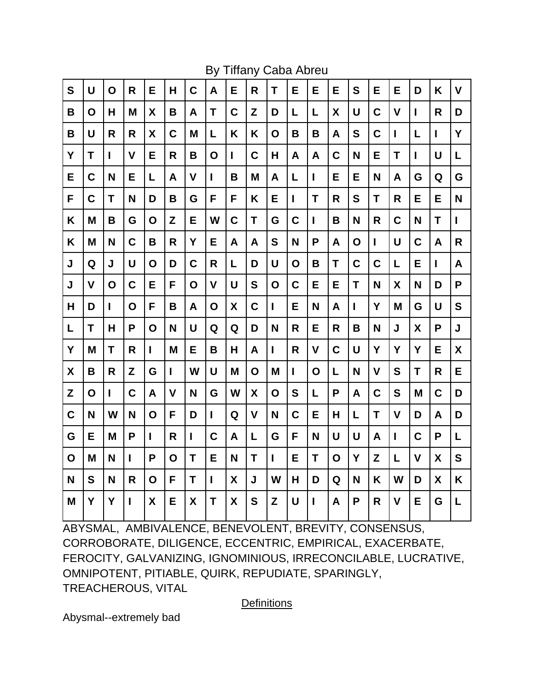| S           | U           | O            | R            | E           | H | $\mathbf C$ | A            | Е            | R            | T            | Е            | Е            | E           | S | E           | Е            | D           | K            | $\overline{\mathsf{V}}$ |
|-------------|-------------|--------------|--------------|-------------|---|-------------|--------------|--------------|--------------|--------------|--------------|--------------|-------------|---|-------------|--------------|-------------|--------------|-------------------------|
| B           | O           | Н            | M            | X           | В | A           | T            | $\mathbf C$  | Z            | D            | L            | L            | X           | U | $\mathbf C$ | $\mathbf v$  | L           | R            | D                       |
| B           | U           | R            | R            | X           | C | M           | L            | K            | K            | $\mathbf O$  | B            | B            | A           | S | $\mathbf c$ | $\mathbf{I}$ | L           | I            | Υ                       |
| Υ           | T           | $\mathbf{I}$ | V            | Е           | R | В           | O            | $\mathbf{I}$ | C            | Н            | A            | A            | C           | N | Е           | T            | L           | U            | L                       |
| E           | C           | N            | Е            | L           | A | V           | $\mathbf{I}$ | B            | M            | A            | L            | $\mathbf{I}$ | E           | Е | N           | A            | G           | Q            | G                       |
| F           | C           | T            | N            | D           | B | G           | F            | F            | Κ            | Е            | $\mathbf{I}$ | T            | R           | S | T           | R            | Е           | Е            | N                       |
| K           | M           | B            | G            | O           | Z | E           | W            | C            | Τ            | G            | C            | $\mathbf{I}$ | B           | N | R           | $\mathbf c$  | N           | $\mathsf{T}$ | L                       |
| Κ           | M           | N            | $\mathbf C$  | B           | R | Y           | E            | A            | A            | S            | N            | P            | A           | O | L           | U            | C           | A            | R                       |
| J           | Q           | J            | U            | O           | D | $\mathbf C$ | R            | L            | D            | U            | O            | B            | T           | C | C           | L            | E           | L            | A                       |
| J           | $\mathbf v$ | O            | C            | E           | F | O           | $\mathbf v$  | U            | S            | $\mathbf O$  | C            | E            | E           | T | N           | X            | N           | D            | P                       |
| Н           | D           | $\mathbf{I}$ | O            | F           | B | A           | O            | X            | $\mathbf c$  | $\mathsf{I}$ | E            | N            | A           | I | Y           | M            | G           | U            | S                       |
| L           | T           | Н            | P            | O           | N | U           | Q            | Q            | D            | N            | R            | E            | R           | B | N           | J            | X           | P            | J                       |
| Y           | M           | T            | R            | L           | M | E           | B            | H            | A            | $\mathbf{I}$ | R            | $\mathsf{V}$ | $\mathbf C$ | U | Y           | Y            | Y           | Е            | $\boldsymbol{X}$        |
| X           | B           | R            | Z            | G           | L | W           | U            | M            | O            | M            | $\mathbf{I}$ | $\mathbf O$  | L           | N | $\mathbf v$ | S            | T           | R            | E                       |
| Z           | O           | $\mathbf{I}$ | C            | A           | V | N           | G            | W            | X            | O            | S            | L            | P           | A | C           | S            | M           | C            | D                       |
| $\mathbf C$ | N           | W            | N            | $\mathbf O$ | F | D           | $\mathbf{I}$ | Q            | $\mathsf{V}$ | N            | C            | E            | H           | Г | T           | $\mathsf{V}$ | D           | A            | D                       |
| G           | Е           | M            | P            | L           | R | L           | C            | A            | L            | G            | F            | N            | U           | U | A           | $\mathbf{I}$ | C           | P            | L                       |
| $\mathbf O$ | M           | N            | $\mathbf{I}$ | P           | O | T           | E            | N            | T            | $\mathbf{I}$ | Е            | T            | $\mathbf O$ | Y | Z           | L            | $\mathbf v$ | X            | S                       |
| N           | S           | N            | R            | O           | F | T           | L            | X            | J            | W            | Н            | D            | Q           | N | K           | W            | D           | X            | K                       |
| M           | Y           | Y            | L            | χ           | E | X           | T            | X            | S            | Z            | U            | $\mathbf{I}$ | A           | P | R           | $\mathbf v$  | Е           | G            | L                       |
|             |             |              |              |             |   |             |              |              |              |              |              |              |             |   |             |              |             |              |                         |

ABYSMAL, AMBIVALENCE, BENEVOLENT, BREVITY, CONSENSUS, CORROBORATE, DILIGENCE, ECCENTRIC, EMPIRICAL, EXACERBATE, FEROCITY, GALVANIZING, IGNOMINIOUS, IRRECONCILABLE, LUCRATIVE, OMNIPOTENT, PITIABLE, QUIRK, REPUDIATE, SPARINGLY, TREACHEROUS, VITAL

**Definitions** 

Abysmal--extremely bad